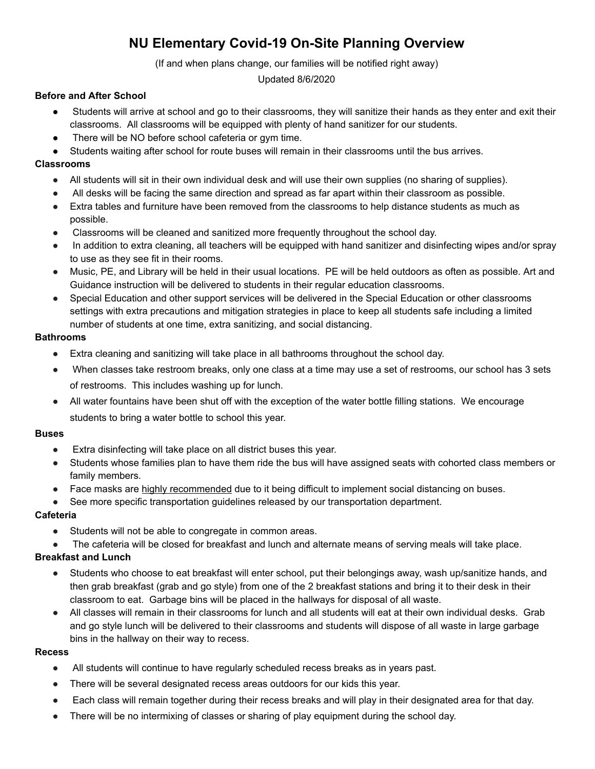# **NU Elementary Covid-19 On-Site Planning Overview**

(If and when plans change, our families will be notified right away)

#### Updated 8/6/2020

# **Before and After School**

- Students will arrive at school and go to their classrooms, they will sanitize their hands as they enter and exit their classrooms. All classrooms will be equipped with plenty of hand sanitizer for our students.
- There will be NO before school cafeteria or gym time.
- Students waiting after school for route buses will remain in their classrooms until the bus arrives.

## **Classrooms**

- All students will sit in their own individual desk and will use their own supplies (no sharing of supplies).
- All desks will be facing the same direction and spread as far apart within their classroom as possible.
- Extra tables and furniture have been removed from the classrooms to help distance students as much as possible.
- Classrooms will be cleaned and sanitized more frequently throughout the school day.
- In addition to extra cleaning, all teachers will be equipped with hand sanitizer and disinfecting wipes and/or spray to use as they see fit in their rooms.
- Music, PE, and Library will be held in their usual locations. PE will be held outdoors as often as possible. Art and Guidance instruction will be delivered to students in their regular education classrooms.
- Special Education and other support services will be delivered in the Special Education or other classrooms settings with extra precautions and mitigation strategies in place to keep all students safe including a limited number of students at one time, extra sanitizing, and social distancing.

#### **Bathrooms**

- Extra cleaning and sanitizing will take place in all bathrooms throughout the school day.
- When classes take restroom breaks, only one class at a time may use a set of restrooms, our school has 3 sets of restrooms. This includes washing up for lunch.
- All water fountains have been shut off with the exception of the water bottle filling stations. We encourage students to bring a water bottle to school this year.

#### **Buses**

- Extra disinfecting will take place on all district buses this year.
- Students whose families plan to have them ride the bus will have assigned seats with cohorted class members or family members.
- Face masks are highly recommended due to it being difficult to implement social distancing on buses.
- See more specific transportation guidelines released by our transportation department.

#### **Cafeteria**

- Students will not be able to congregate in common areas.
- The cafeteria will be closed for breakfast and lunch and alternate means of serving meals will take place.

#### **Breakfast and Lunch**

- Students who choose to eat breakfast will enter school, put their belongings away, wash up/sanitize hands, and then grab breakfast (grab and go style) from one of the 2 breakfast stations and bring it to their desk in their classroom to eat. Garbage bins will be placed in the hallways for disposal of all waste.
- All classes will remain in their classrooms for lunch and all students will eat at their own individual desks. Grab and go style lunch will be delivered to their classrooms and students will dispose of all waste in large garbage bins in the hallway on their way to recess.

#### **Recess**

- All students will continue to have regularly scheduled recess breaks as in years past.
- There will be several designated recess areas outdoors for our kids this year.
- Each class will remain together during their recess breaks and will play in their designated area for that day.
- There will be no intermixing of classes or sharing of play equipment during the school day.